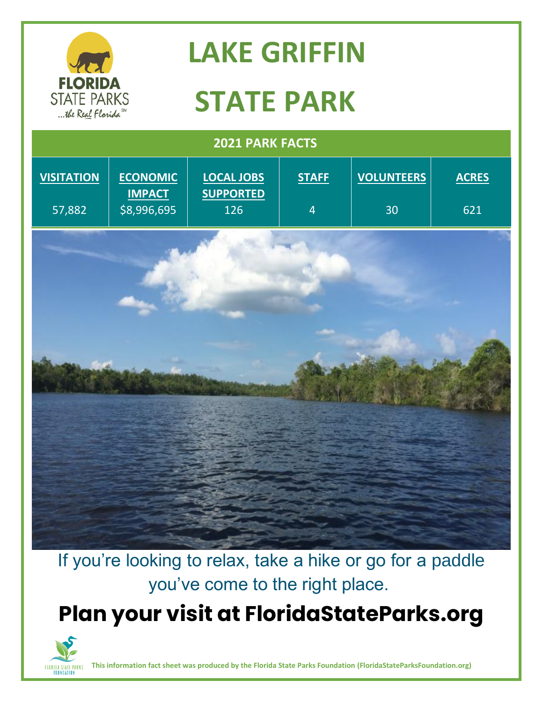

## **LAKE GRIFFIN**

# **STATE PARK**

| 2021 PARK FACTS   |                                  |                                       |                |                   |              |
|-------------------|----------------------------------|---------------------------------------|----------------|-------------------|--------------|
| <b>VISITATION</b> | <b>ECONOMIC</b><br><b>IMPACT</b> | <b>LOCAL JOBS</b><br><b>SUPPORTED</b> | <b>STAFF</b>   | <b>VOLUNTEERS</b> | <b>ACRES</b> |
| 57,882            | \$8,996,695                      | 126                                   | $\overline{4}$ | 30                | 621          |
|                   |                                  |                                       |                |                   |              |

If you're looking to relax, take a hike or go for a paddle you've come to the right place.

#### **Plan your visit at FloridaStateParks.org**



**This information fact sheet was produced by the Florida State Parks Foundation (FloridaStateParksFoundation.org)**